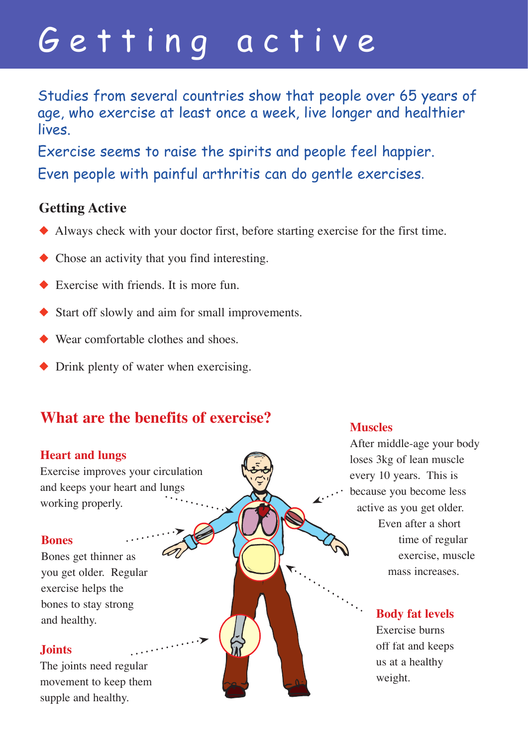# Getting active

Studies from several countries show that people over 65 years of age, who exercise at least once a week, live longer and healthier lives.

Exercise seems to raise the spirits and people feel happier. Even people with painful arthritis can do gentle exercises.

### **Getting Active**

- ◆ Always check with your doctor first, before starting exercise for the first time.
- ◆ Chose an activity that you find interesting.
- $\triangle$  Exercise with friends. It is more fun.
- ◆ Start off slowly and aim for small improvements.
- ◆ Wear comfortable clothes and shoes
- ◆ Drink plenty of water when exercising.

## **What are the benefits of exercise?**

### **Heart and lungs**

Exercise improves your circulation and keeps your heart and lungs working properly.

### **Bones**

Bones get thinner as you get older. Regular exercise helps the bones to stay strong and healthy.

### **Joints**

The joints need regular movement to keep them supple and healthy.

### **Muscles**

After middle-age your body loses 3kg of lean muscle every 10 years. This is because you become less active as you get older. Even after a short time of regular exercise, muscle mass increases.

### **Body fat levels**

Exercise burns off fat and keeps us at a healthy weight.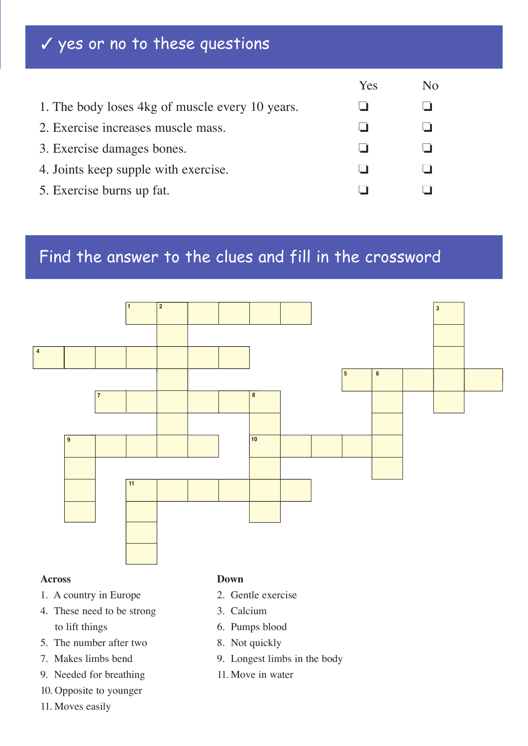# ✓ yes or no to these questions

|                                                 | Yes | No |
|-------------------------------------------------|-----|----|
| 1. The body loses 4kg of muscle every 10 years. |     |    |
| 2. Exercise increases muscle mass.              |     |    |
| 3. Exercise damages bones.                      |     |    |
| 4. Joints keep supple with exercise.            |     |    |
| 5. Exercise burns up fat.                       |     |    |

# Find the answer to the clues and fill in the crossword



#### **Across**

- 1. A country in Europe
- 4. These need to be strong to lift things
- 5. The number after two
- 7. Makes limbs bend
- 9. Needed for breathing
- 10. Opposite to younger
- 11. Moves easily

#### **Down**

- 2. Gentle exercise
- 3. Calcium
- 6. Pumps blood
- 8. Not quickly
- 9. Longest limbs in the body
- 11. Move in water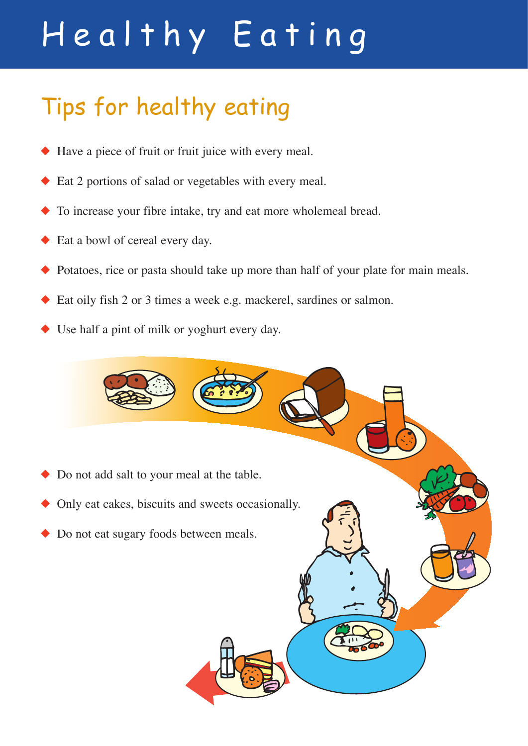# Healthy Eating

# Tips for healthy eating

- Have a piece of fruit or fruit juice with every meal.
- Eat 2 portions of salad or vegetables with every meal.
- ◆ To increase your fibre intake, try and eat more wholemeal bread.
- ◆ Eat a bowl of cereal every day.
- Potatoes, rice or pasta should take up more than half of your plate for main meals.
- Eat oily fish 2 or 3 times a week e.g. mackerel, sardines or salmon.
- Use half a pint of milk or yoghurt every day.

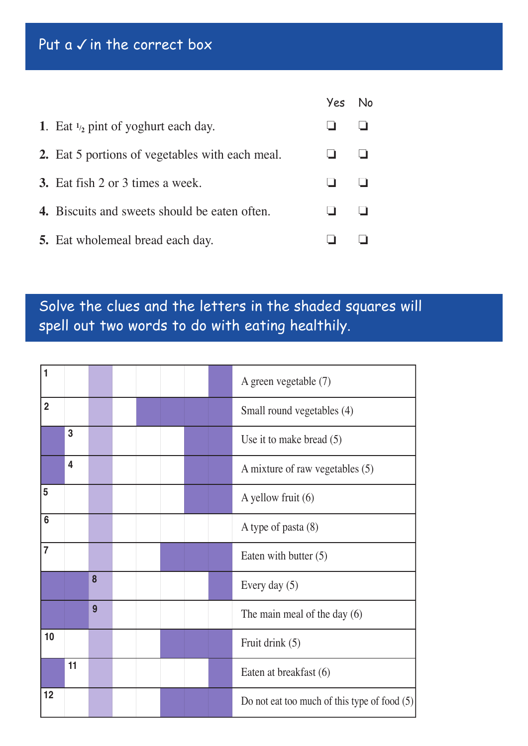# Put a  $\checkmark$  in the correct box

|                                                        | Yes No |  |
|--------------------------------------------------------|--------|--|
| 1. Eat $\frac{1}{2}$ pint of yoghurt each day.         |        |  |
| <b>2.</b> Eat 5 portions of vegetables with each meal. |        |  |
| <b>3.</b> Eat fish 2 or 3 times a week.                |        |  |
| 4. Biscuits and sweets should be eaten often.          |        |  |
| <b>5.</b> Eat wholemeal bread each day.                |        |  |

# Solve the clues and the letters in the shaded squares will spell out two words to do with eating healthily.

| 1              |                         |   |  |  | A green vegetable (7)                          |
|----------------|-------------------------|---|--|--|------------------------------------------------|
| $\overline{2}$ |                         |   |  |  | Small round vegetables (4)                     |
|                | 3                       |   |  |  | Use it to make bread $(5)$                     |
|                | $\overline{\mathbf{4}}$ |   |  |  | A mixture of raw vegetables (5)                |
| 5              |                         |   |  |  | A yellow fruit (6)                             |
| 6              |                         |   |  |  | A type of pasta (8)                            |
| $\overline{7}$ |                         |   |  |  | Eaten with butter $(5)$                        |
|                |                         | 8 |  |  | Every day $(5)$                                |
|                |                         | 9 |  |  | The main meal of the day $(6)$                 |
| 10             |                         |   |  |  | Fruit drink (5)                                |
|                | 11                      |   |  |  | Eaten at breakfast (6)                         |
| 12             |                         |   |  |  | Do not eat too much of this type of food $(5)$ |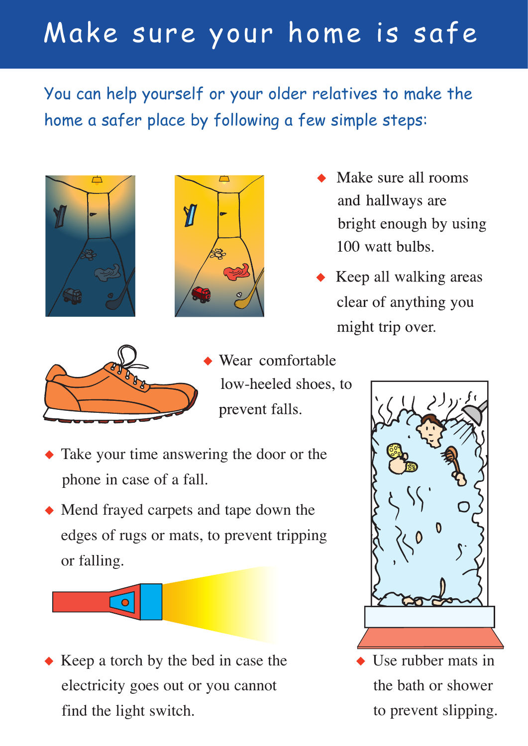# Make sure your home is safe

You can help yourself or your older relatives to make the home a safer place by following a few simple steps:





- Make sure all rooms and hallways are bright enough by using 100 watt bulbs.
- Keep all walking areas clear of anything you might trip over.



 $\bullet$ 

- Wear comfortable low-heeled shoes, to prevent falls.
- Take your time answering the door or the phone in case of a fall.
- ◆ Mend frayed carpets and tape down the edges of rugs or mats, to prevent tripping or falling.

◆ Keep a torch by the bed in case the electricity goes out or you cannot find the light switch.



Use rubber mats in the bath or shower to prevent slipping.